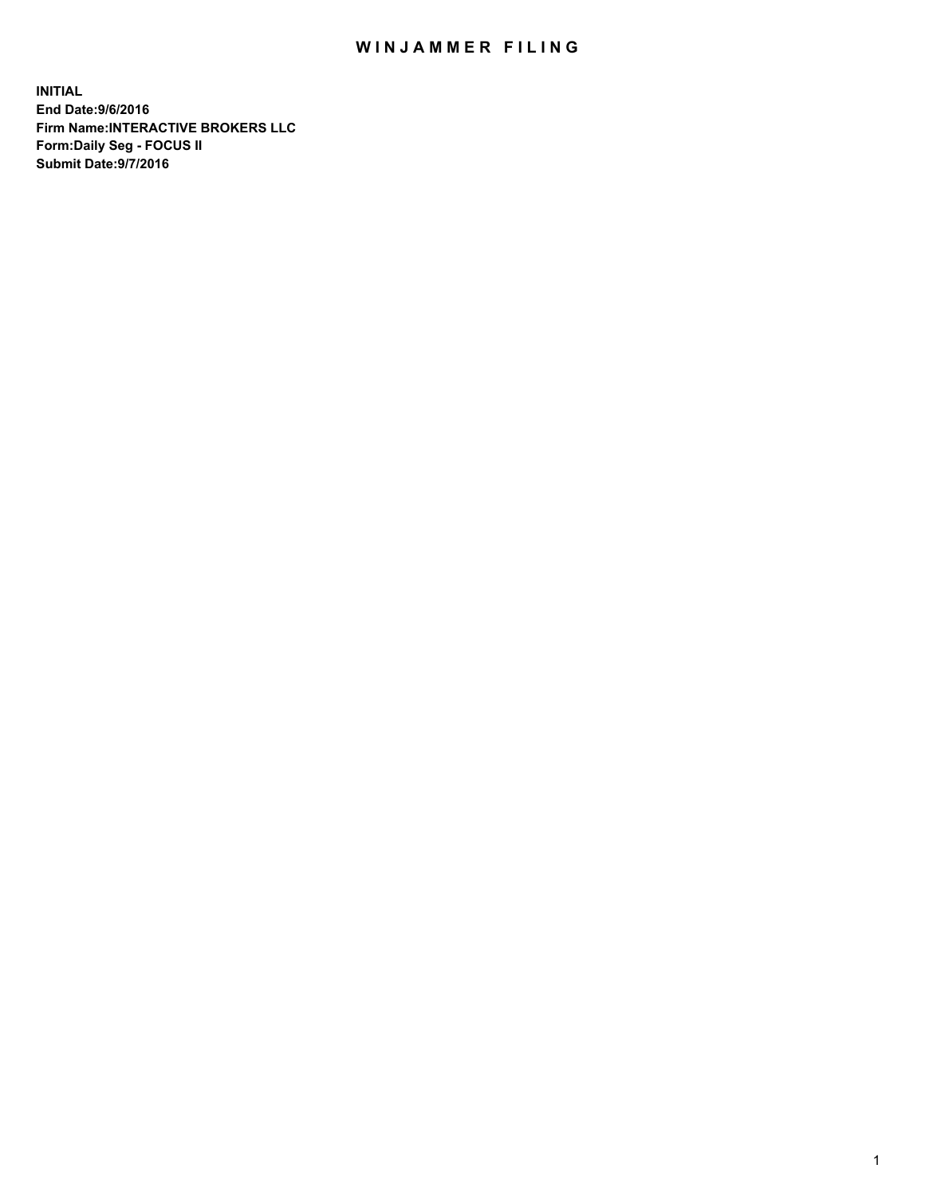## WIN JAMMER FILING

**INITIAL End Date:9/6/2016 Firm Name:INTERACTIVE BROKERS LLC Form:Daily Seg - FOCUS II Submit Date:9/7/2016**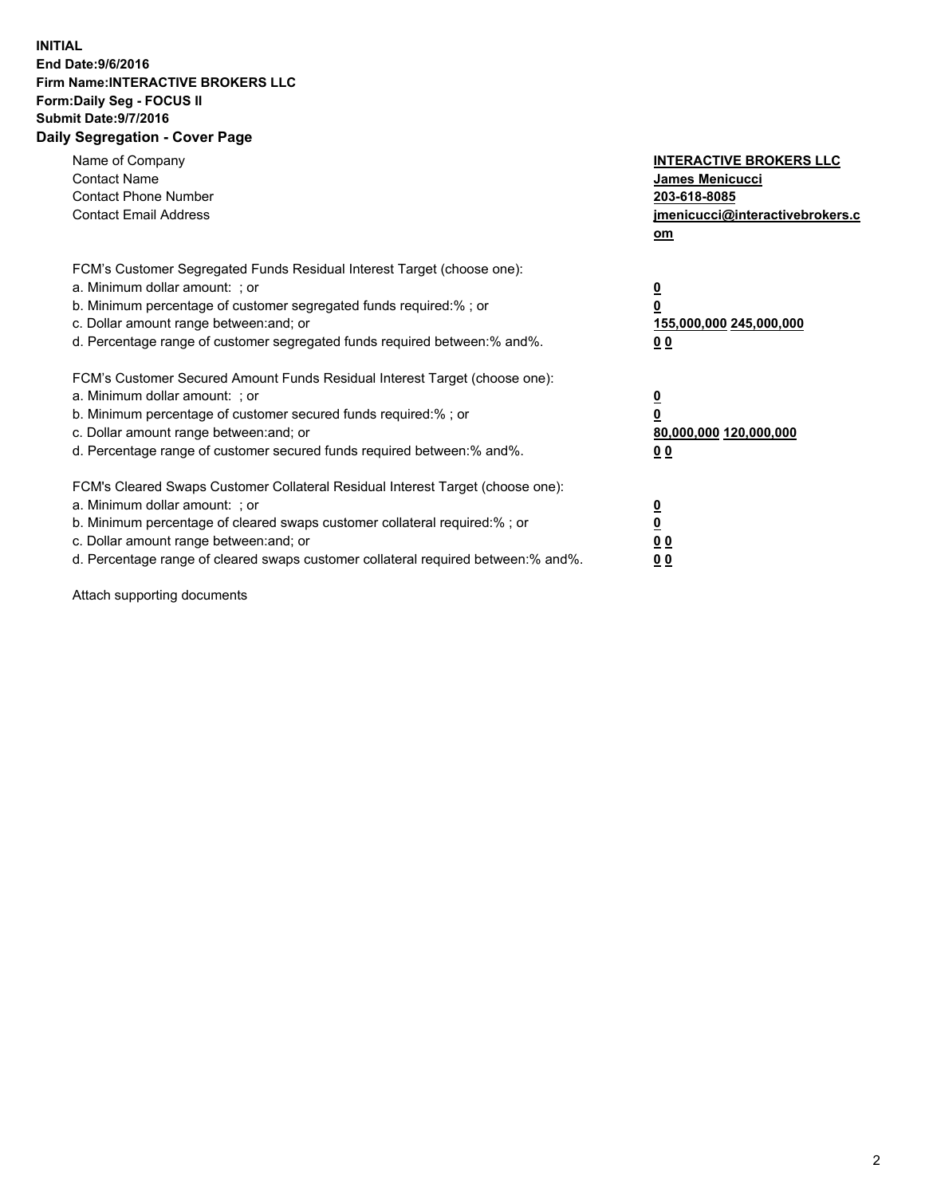## **INITIAL End Date:9/6/2016 Firm Name:INTERACTIVE BROKERS LLC Form:Daily Seg - FOCUS II Submit Date:9/7/2016 Daily Segregation - Cover Page**

| Name of Company<br><b>Contact Name</b><br><b>Contact Phone Number</b><br><b>Contact Email Address</b>                                                                                                                                                                                                                          | <b>INTERACTIVE BROKERS LLC</b><br><b>James Menicucci</b><br>203-618-8085<br>jmenicucci@interactivebrokers.c<br>om |
|--------------------------------------------------------------------------------------------------------------------------------------------------------------------------------------------------------------------------------------------------------------------------------------------------------------------------------|-------------------------------------------------------------------------------------------------------------------|
| FCM's Customer Segregated Funds Residual Interest Target (choose one):<br>a. Minimum dollar amount: ; or<br>b. Minimum percentage of customer segregated funds required:% ; or<br>c. Dollar amount range between: and; or<br>d. Percentage range of customer segregated funds required between:% and%.                         | $\overline{\mathbf{0}}$<br>0<br>155,000,000 245,000,000<br>0 <sub>0</sub>                                         |
| FCM's Customer Secured Amount Funds Residual Interest Target (choose one):<br>a. Minimum dollar amount: ; or<br>b. Minimum percentage of customer secured funds required:%; or<br>c. Dollar amount range between: and; or<br>d. Percentage range of customer secured funds required between: % and %.                          | $\overline{\mathbf{0}}$<br>$\overline{\mathbf{0}}$<br>80,000,000 120,000,000<br>00                                |
| FCM's Cleared Swaps Customer Collateral Residual Interest Target (choose one):<br>a. Minimum dollar amount: ; or<br>b. Minimum percentage of cleared swaps customer collateral required:% ; or<br>c. Dollar amount range between: and; or<br>d. Percentage range of cleared swaps customer collateral required between:% and%. | $\overline{\mathbf{0}}$<br>$\overline{\mathbf{0}}$<br>0 <sub>0</sub><br>0 <sub>0</sub>                            |

Attach supporting documents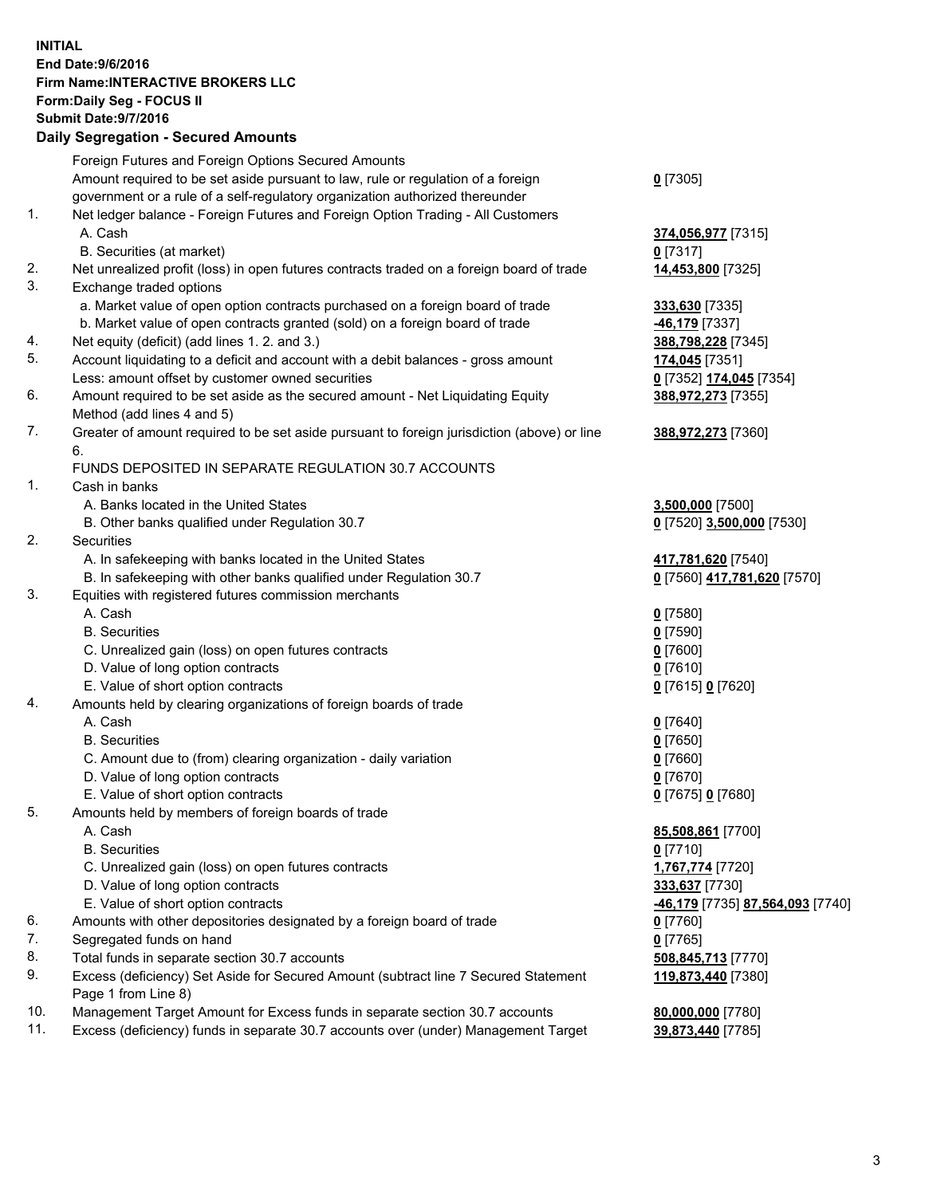## **INITIAL End Date:9/6/2016 Firm Name:INTERACTIVE BROKERS LLC Form:Daily Seg - FOCUS II Submit Date:9/7/2016 Daily Segregation - Secured Amounts**

|          | Foreign Futures and Foreign Options Secured Amounts                                                                                  |                                  |
|----------|--------------------------------------------------------------------------------------------------------------------------------------|----------------------------------|
|          | Amount required to be set aside pursuant to law, rule or regulation of a foreign                                                     | $0$ [7305]                       |
|          | government or a rule of a self-regulatory organization authorized thereunder                                                         |                                  |
| 1.       | Net ledger balance - Foreign Futures and Foreign Option Trading - All Customers                                                      |                                  |
|          | A. Cash                                                                                                                              | 374,056,977 [7315]               |
|          | B. Securities (at market)                                                                                                            | $0$ [7317]                       |
| 2.       | Net unrealized profit (loss) in open futures contracts traded on a foreign board of trade                                            | 14,453,800 [7325]                |
| 3.       | Exchange traded options                                                                                                              |                                  |
|          | a. Market value of open option contracts purchased on a foreign board of trade                                                       | 333,630 [7335]                   |
|          | b. Market value of open contracts granted (sold) on a foreign board of trade                                                         | -46,179 [7337]                   |
| 4.       | Net equity (deficit) (add lines 1.2. and 3.)                                                                                         | 388,798,228 [7345]               |
| 5.       | Account liquidating to a deficit and account with a debit balances - gross amount                                                    | 174,045 [7351]                   |
|          | Less: amount offset by customer owned securities                                                                                     | 0 [7352] 174,045 [7354]          |
| 6.       | Amount required to be set aside as the secured amount - Net Liquidating Equity                                                       | 388,972,273 [7355]               |
|          | Method (add lines 4 and 5)                                                                                                           |                                  |
| 7.       | Greater of amount required to be set aside pursuant to foreign jurisdiction (above) or line                                          | 388,972,273 [7360]               |
|          | 6.                                                                                                                                   |                                  |
|          | FUNDS DEPOSITED IN SEPARATE REGULATION 30.7 ACCOUNTS                                                                                 |                                  |
| 1.       | Cash in banks                                                                                                                        |                                  |
|          | A. Banks located in the United States                                                                                                | 3,500,000 [7500]                 |
|          | B. Other banks qualified under Regulation 30.7                                                                                       | 0 [7520] 3,500,000 [7530]        |
| 2.       | Securities                                                                                                                           |                                  |
|          | A. In safekeeping with banks located in the United States                                                                            | 417,781,620 [7540]               |
|          | B. In safekeeping with other banks qualified under Regulation 30.7                                                                   | 0 [7560] 417,781,620 [7570]      |
| 3.       | Equities with registered futures commission merchants                                                                                |                                  |
|          | A. Cash                                                                                                                              | $0$ [7580]                       |
|          | <b>B.</b> Securities                                                                                                                 | $0$ [7590]                       |
|          | C. Unrealized gain (loss) on open futures contracts                                                                                  | $0$ [7600]                       |
|          | D. Value of long option contracts                                                                                                    | $0$ [7610]                       |
|          | E. Value of short option contracts                                                                                                   | 0 [7615] 0 [7620]                |
| 4.       | Amounts held by clearing organizations of foreign boards of trade                                                                    |                                  |
|          | A. Cash                                                                                                                              | $0$ [7640]                       |
|          | <b>B.</b> Securities                                                                                                                 | $0$ [7650]                       |
|          | C. Amount due to (from) clearing organization - daily variation                                                                      | $0$ [7660]                       |
|          | D. Value of long option contracts                                                                                                    | $0$ [7670]                       |
|          | E. Value of short option contracts                                                                                                   | 0 [7675] 0 [7680]                |
| 5.       | Amounts held by members of foreign boards of trade                                                                                   |                                  |
|          | A. Cash                                                                                                                              | 85,508,861 [7700]                |
|          | <b>B.</b> Securities                                                                                                                 | $0$ [7710]                       |
|          | C. Unrealized gain (loss) on open futures contracts                                                                                  | 1,767,774 [7720]                 |
|          | D. Value of long option contracts                                                                                                    | 333,637 [7730]                   |
|          | E. Value of short option contracts                                                                                                   | -46,179 [7735] 87,564,093 [7740] |
| 6.       | Amounts with other depositories designated by a foreign board of trade                                                               | 0 [7760]                         |
| 7.<br>8. | Segregated funds on hand                                                                                                             | $0$ [7765]                       |
| 9.       | Total funds in separate section 30.7 accounts<br>Excess (deficiency) Set Aside for Secured Amount (subtract line 7 Secured Statement | 508,845,713 [7770]               |
|          | Page 1 from Line 8)                                                                                                                  | 119,873,440 [7380]               |
| 10.      | Management Target Amount for Excess funds in separate section 30.7 accounts                                                          | 80,000,000 [7780]                |
| 11.      | Excess (deficiency) funds in separate 30.7 accounts over (under) Management Target                                                   | 39,873,440 [7785]                |
|          |                                                                                                                                      |                                  |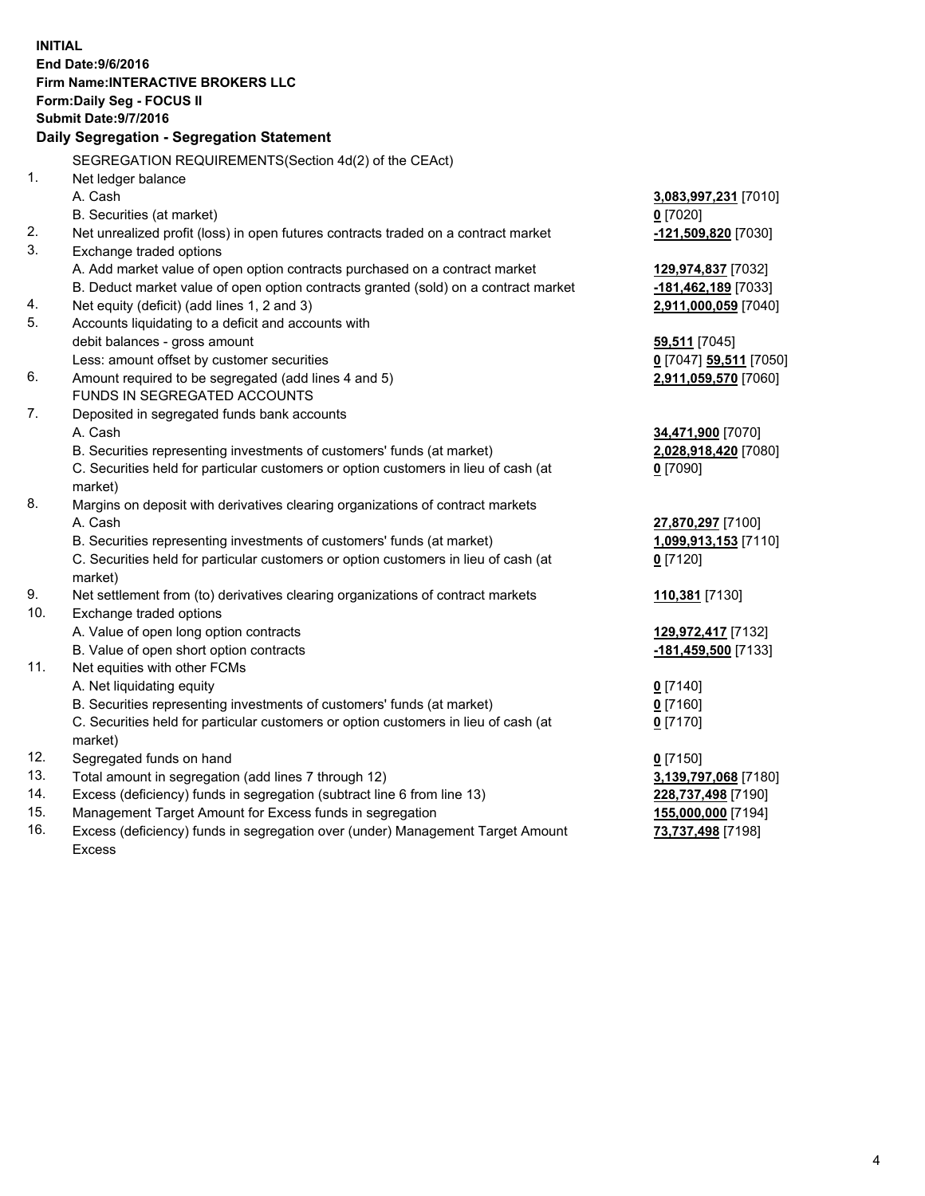**INITIAL End Date:9/6/2016 Firm Name:INTERACTIVE BROKERS LLC Form:Daily Seg - FOCUS II Submit Date:9/7/2016 Daily Segregation - Segregation Statement** SEGREGATION REQUIREMENTS(Section 4d(2) of the CEAct) 1. Net ledger balance A. Cash **3,083,997,231** [7010] B. Securities (at market) **0** [7020] 2. Net unrealized profit (loss) in open futures contracts traded on a contract market **-121,509,820** [7030] 3. Exchange traded options A. Add market value of open option contracts purchased on a contract market **129,974,837** [7032] B. Deduct market value of open option contracts granted (sold) on a contract market **-181,462,189** [7033] 4. Net equity (deficit) (add lines 1, 2 and 3) **2,911,000,059** [7040] 5. Accounts liquidating to a deficit and accounts with debit balances - gross amount **59,511** [7045] Less: amount offset by customer securities **0** [7047] **59,511** [7050] 6. Amount required to be segregated (add lines 4 and 5) **2,911,059,570** [7060] FUNDS IN SEGREGATED ACCOUNTS 7. Deposited in segregated funds bank accounts A. Cash **34,471,900** [7070] B. Securities representing investments of customers' funds (at market) **2,028,918,420** [7080] C. Securities held for particular customers or option customers in lieu of cash (at market) **0** [7090] 8. Margins on deposit with derivatives clearing organizations of contract markets A. Cash **27,870,297** [7100] B. Securities representing investments of customers' funds (at market) **1,099,913,153** [7110] C. Securities held for particular customers or option customers in lieu of cash (at market) **0** [7120] 9. Net settlement from (to) derivatives clearing organizations of contract markets **110,381** [7130] 10. Exchange traded options A. Value of open long option contracts **129,972,417** [7132] B. Value of open short option contracts **-181,459,500** [7133] 11. Net equities with other FCMs A. Net liquidating equity **0** [7140] B. Securities representing investments of customers' funds (at market) **0** [7160] C. Securities held for particular customers or option customers in lieu of cash (at market) **0** [7170] 12. Segregated funds on hand **0** [7150] 13. Total amount in segregation (add lines 7 through 12) **3,139,797,068** [7180] 14. Excess (deficiency) funds in segregation (subtract line 6 from line 13) **228,737,498** [7190] 15. Management Target Amount for Excess funds in segregation **155,000,000** [7194] 16. Excess (deficiency) funds in segregation over (under) Management Target Amount **73,737,498** [7198]

Excess